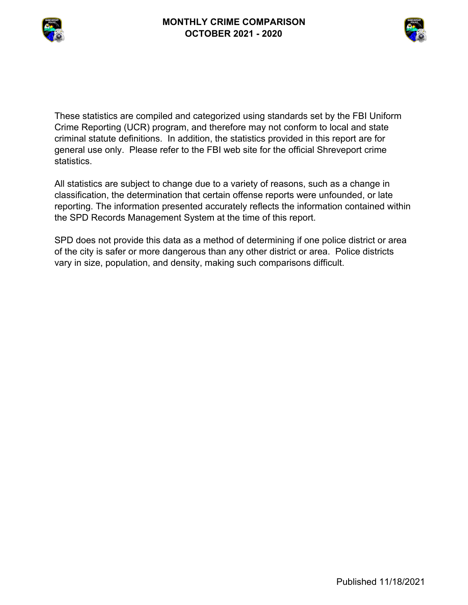



These statistics are compiled and categorized using standards set by the FBI Uniform Crime Reporting (UCR) program, and therefore may not conform to local and state criminal statute definitions. In addition, the statistics provided in this report are for general use only. Please refer to the FBI web site for the official Shreveport crime statistics.

All statistics are subject to change due to a variety of reasons, such as a change in classification, the determination that certain offense reports were unfounded, or late reporting. The information presented accurately reflects the information contained within the SPD Records Management System at the time of this report.

SPD does not provide this data as a method of determining if one police district or area of the city is safer or more dangerous than any other district or area. Police districts vary in size, population, and density, making such comparisons difficult.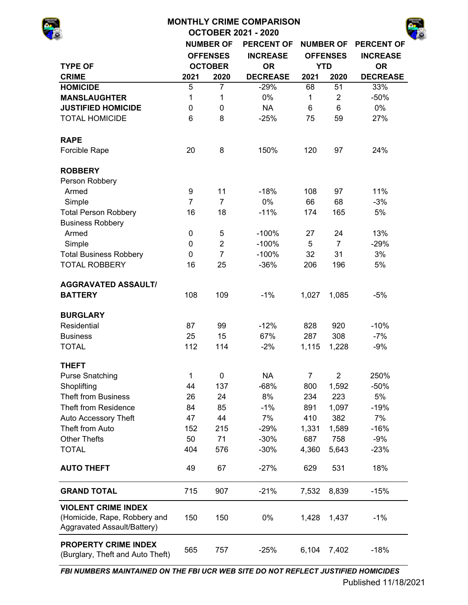|                               |                |                                                                                                                                                                                                                                                                                                                               | <b>PERCENT OF</b> |       | <b>NUMBER OF</b> | <b>PERCENT OF</b> |
|-------------------------------|----------------|-------------------------------------------------------------------------------------------------------------------------------------------------------------------------------------------------------------------------------------------------------------------------------------------------------------------------------|-------------------|-------|------------------|-------------------|
|                               |                |                                                                                                                                                                                                                                                                                                                               | <b>INCREASE</b>   |       | <b>OFFENSES</b>  | <b>INCREASE</b>   |
| <b>TYPE OF</b>                |                | <b>MONTHLY CRIME COMPARISON</b><br><b>OCTOBER 2021 - 2020</b><br><b>NUMBER OF</b><br><b>OFFENSES</b><br><b>OCTOBER</b><br>2020<br>$\overline{7}$<br>1<br>0<br>8<br>8<br>11<br>$\overline{7}$<br>18<br>5<br>$\overline{2}$<br>$\overline{7}$<br>25<br>109<br>99<br>15<br>114<br>0<br>137<br>24<br>85<br>44<br>215<br>71<br>576 | <b>OR</b>         |       | <b>YTD</b>       | <b>OR</b>         |
| <b>CRIME</b>                  | 2021           |                                                                                                                                                                                                                                                                                                                               | <b>DECREASE</b>   | 2021  | 2020             | <b>DECREASE</b>   |
| <b>HOMICIDE</b>               | 5              |                                                                                                                                                                                                                                                                                                                               | $-29%$            | 68    | 51               | 33%               |
| <b>MANSLAUGHTER</b>           | 1              |                                                                                                                                                                                                                                                                                                                               | 0%                | 1     | $\overline{2}$   | $-50%$            |
| <b>JUSTIFIED HOMICIDE</b>     | 0              |                                                                                                                                                                                                                                                                                                                               | <b>NA</b>         | 6     | 6                | 0%                |
| <b>TOTAL HOMICIDE</b>         | 6              |                                                                                                                                                                                                                                                                                                                               | $-25%$            | 75    | 59               | 27%               |
| <b>RAPE</b>                   |                |                                                                                                                                                                                                                                                                                                                               |                   |       |                  |                   |
| Forcible Rape                 | 20             |                                                                                                                                                                                                                                                                                                                               | 150%              | 120   | 97               | 24%               |
| <b>ROBBERY</b>                |                |                                                                                                                                                                                                                                                                                                                               |                   |       |                  |                   |
| Person Robbery                |                |                                                                                                                                                                                                                                                                                                                               |                   |       |                  |                   |
| Armed                         | 9              |                                                                                                                                                                                                                                                                                                                               | $-18%$            | 108   | 97               | 11%               |
| Simple                        | $\overline{7}$ |                                                                                                                                                                                                                                                                                                                               | 0%                | 66    | 68               | $-3%$             |
| <b>Total Person Robbery</b>   | 16             |                                                                                                                                                                                                                                                                                                                               | $-11%$            | 174   | 165              | 5%                |
| <b>Business Robbery</b>       |                |                                                                                                                                                                                                                                                                                                                               |                   |       |                  |                   |
| Armed                         | $\mathbf 0$    |                                                                                                                                                                                                                                                                                                                               | $-100%$           | 27    | 24               | 13%               |
| Simple                        | $\mathbf 0$    |                                                                                                                                                                                                                                                                                                                               | $-100%$           | 5     | $\overline{7}$   | $-29%$            |
| <b>Total Business Robbery</b> | 0              |                                                                                                                                                                                                                                                                                                                               | $-100%$           | 32    | 31               | 3%                |
| <b>TOTAL ROBBERY</b>          | 16             |                                                                                                                                                                                                                                                                                                                               | $-36%$            | 206   | 196              | 5%                |
| <b>AGGRAVATED ASSAULT/</b>    |                |                                                                                                                                                                                                                                                                                                                               |                   |       |                  |                   |
| <b>BATTERY</b>                | 108            |                                                                                                                                                                                                                                                                                                                               | $-1%$             | 1,027 | 1,085            | $-5%$             |
| <b>BURGLARY</b>               |                |                                                                                                                                                                                                                                                                                                                               |                   |       |                  |                   |
| Residential                   | 87             |                                                                                                                                                                                                                                                                                                                               | $-12%$            | 828   | 920              | $-10%$            |
| <b>Business</b>               | 25             |                                                                                                                                                                                                                                                                                                                               | 67%               | 287   | 308              | $-7%$             |
| <b>TOTAL</b>                  | 112            |                                                                                                                                                                                                                                                                                                                               | $-2%$             | 1,115 | 1,228            | $-9%$             |
| <b>THEFT</b>                  |                |                                                                                                                                                                                                                                                                                                                               |                   |       |                  |                   |
| <b>Purse Snatching</b>        | 1              |                                                                                                                                                                                                                                                                                                                               | <b>NA</b>         | 7     | $\overline{2}$   | 250%              |
| Shoplifting                   | 44             |                                                                                                                                                                                                                                                                                                                               | $-68%$            | 800   | 1,592            | $-50%$            |
| <b>Theft from Business</b>    | 26             |                                                                                                                                                                                                                                                                                                                               | 8%                | 234   | 223              | 5%                |
| <b>Theft from Residence</b>   | 84             |                                                                                                                                                                                                                                                                                                                               | $-1%$             | 891   | 1,097            | $-19%$            |
| Auto Accessory Theft          | 47             |                                                                                                                                                                                                                                                                                                                               | 7%                | 410   | 382              | 7%                |
| Theft from Auto               | 152            |                                                                                                                                                                                                                                                                                                                               | $-29%$            | 1,331 | 1,589            | $-16%$            |
| <b>Other Thefts</b>           | 50             |                                                                                                                                                                                                                                                                                                                               | $-30%$            | 687   | 758              | $-9%$             |
| <b>TOTAL</b>                  | 404            |                                                                                                                                                                                                                                                                                                                               | $-30%$            | 4,360 | 5,643            | $-23%$            |
| <b>AUTO THEFT</b>             | 49             | 67                                                                                                                                                                                                                                                                                                                            | $-27%$            | 629   | 531              | 18%               |
| <b>GRAND TOTAL</b>            | 715            | 907                                                                                                                                                                                                                                                                                                                           | $-21%$            | 7,532 | 8,839            | $-15%$            |

150 150 0% 1,428 1,437 -1% 565 757 -25% 6,104 7,402 -18% **VIOLENT CRIME INDEX**  (Homicide, Rape, Robbery and Aggravated Assault/Battery) **PROPERTY CRIME INDEX**  (Burglary, Theft and Auto Theft)

*FBI NUMBERS MAINTAINED ON THE FBI UCR WEB SITE DO NOT REFLECT JUSTIFIED HOMICIDES*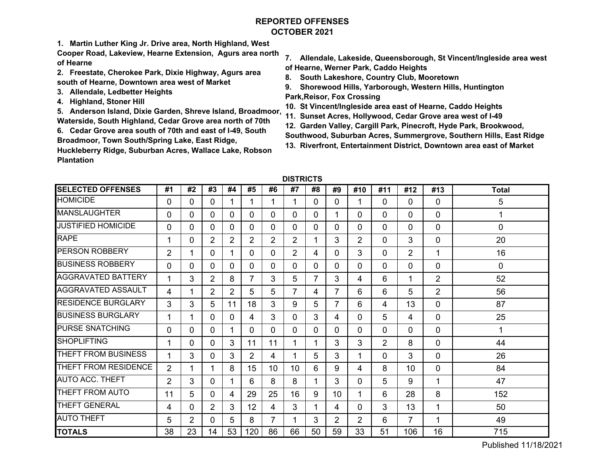# **REPORTED OFFENSESOCTOBER 2021**

**1. Martin Luther King Jr. Drive area, North Highland, West** 

**Cooper Road, Lakeview, Hearne Extension, Agurs area north of Hearne**

- **2. Freestate, Cherokee Park, Dixie Highway, Agurs area south of Hearne, Downtown area west of Market**
- **3. Allendale, Ledbetter Heights**
- **4. Highland, Stoner Hill**

**5. Anderson Island, Dixie Garden, Shreve Island, Broadmoor, Waterside, South Highland, Cedar Grove area north of 70th**

**6. Cedar Grove area south of 70th and east of I-49, South Broadmoor, Town South/Spring Lake, East Ridge,** 

**Huckleberry Ridge, Suburban Acres, Wallace Lake, Robson Plantation** 

- **7. Allendale, Lakeside, Queensborough, St Vincent/Ingleside area west of Hearne, Werner Park, Caddo Heights**
- **8. South Lakeshore, Country Club, Mooretown**
- **9. Shorewood Hills, Yarborough, Western Hills, Huntington Park,Reisor, Fox Crossing**
- **10. St Vincent/Ingleside area east of Hearne, Caddo Heights**
- **11. Sunset Acres, Hollywood, Cedar Grove area west of I-49**
- **12. Garden Valley, Cargill Park, Pinecroft, Hyde Park, Brookwood,**
- **Southwood, Suburban Acres, Summergrove, Southern Hills, East Ridge**
- **13. Riverfront, Entertainment District, Downtown area east of Market**

| <b>SELECTED OFFENSES</b>  | #1             | #2             | #3             | #4             | #5             | #6             | #7              | #8       | #9             | #10            | #11 | #12            | #13            | <b>Total</b> |
|---------------------------|----------------|----------------|----------------|----------------|----------------|----------------|-----------------|----------|----------------|----------------|-----|----------------|----------------|--------------|
| <b>HOMICIDE</b>           | 0              | 0              | 0              |                | 1              |                | 1               | $\Omega$ | $\Omega$       |                | 0   | $\Omega$       | 0              | 5            |
| <b>MANSLAUGHTER</b>       | 0              | $\mathbf{0}$   | 0              | 0              | 0              | 0              | 0               | $\Omega$ | 1              | 0              | 0   | $\Omega$       | 0              | 1            |
| <b>JUSTIFIED HOMICIDE</b> | 0              | $\Omega$       | 0              | $\Omega$       | 0              | 0              | 0               | $\Omega$ | $\Omega$       | 0              | 0   | $\Omega$       | 0              | 0            |
| <b>RAPE</b>               |                | $\mathbf{0}$   | $\overline{2}$ | $\overline{2}$ | $\overline{2}$ | $\overline{2}$ | $\overline{2}$  |          | 3              | 2              | 0   | 3              | 0              | 20           |
| <b>PERSON ROBBERY</b>     | $\overline{2}$ | 1              | 0              |                | 0              | 0              | $\overline{2}$  | 4        | $\Omega$       | 3              | 0   | $\overline{2}$ | 1              | 16           |
| <b>BUSINESS ROBBERY</b>   | 0              | $\Omega$       | 0              | 0              | 0              | 0              | 0               | $\Omega$ | 0              | 0              | 0   | 0              | 0              | 0            |
| <b>AGGRAVATED BATTERY</b> |                | 3              | 2              | 8              | 7              | 3              | 5               | 7        | 3              | 4              | 6   | 1              | $\overline{2}$ | 52           |
| <b>AGGRAVATED ASSAULT</b> | 4              | 1              | $\overline{2}$ | 2              | 5              | 5              | 7               | 4        | 7              | 6              | 6   | 5              | $\overline{2}$ | 56           |
| <b>RESIDENCE BURGLARY</b> | 3              | 3              | 5              | 11             | 18             | 3              | 9               | 5        | $\overline{7}$ | 6              | 4   | 13             | 0              | 87           |
| <b>BUSINESS BURGLARY</b>  |                | 1              | 0              | $\Omega$       | 4              | 3              | 0               | 3        | 4              | 0              | 5   | 4              | 0              | 25           |
| <b>PURSE SNATCHING</b>    | 0              | 0              | $\Omega$       |                | 0              | 0              | 0               | $\Omega$ | $\Omega$       | 0              | 0   | $\Omega$       | 0              | 1            |
| <b>SHOPLIFTING</b>        |                | 0              | 0              | 3              | 11             | 11             | 1               | 1        | 3              | 3              | 2   | 8              | 0              | 44           |
| THEFT FROM BUSINESS       | 1              | 3              | 0              | 3              | 2              | 4              | 1               | 5        | 3              | 1              | 0   | 3              | 0              | 26           |
| THEFT FROM RESIDENCE      | $\overline{2}$ |                |                | 8              | 15             | 10             | 10 <sup>1</sup> | 6        | 9              | 4              | 8   | 10             | 0              | 84           |
| <b>AUTO ACC. THEFT</b>    | 2              | 3              | 0              |                | 6              | 8              | 8               | 1        | 3              | 0              | 5   | 9              | 1              | 47           |
| THEFT FROM AUTO           | 11             | 5              | 0              | 4              | 29             | 25             | 16              | 9        | 10             |                | 6   | 28             | 8              | 152          |
| <b>THEFT GENERAL</b>      | 4              | 0              | 2              | 3              | 12             | 4              | 3               |          | 4              | 0              | 3   | 13             | 1              | 50           |
| <b>AUTO THEFT</b>         | 5              | $\overline{2}$ | 0              | 5              | 8              |                | 1               | 3        | $\overline{2}$ | $\overline{2}$ | 6   | $\overline{7}$ | 1              | 49           |
| <b>TOTALS</b>             | 38             | 23             | 14             | 53             | 120            | 86             | 66              | 50       | 59             | 33             | 51  | 106            | 16             | 715          |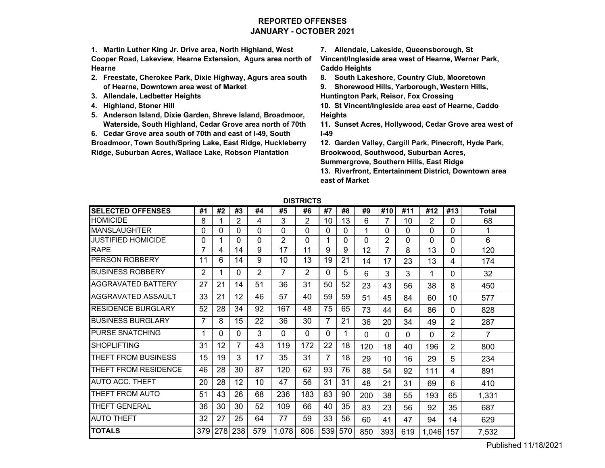# **REPORTED OFFENSESJANUARY - OCTOBER 2021**

**1. Martin Luther King Jr. Drive area, North Highland, West Cooper Road, Lakeview, Hearne Extension, Agurs area north of Hearne**

- **2. Freestate, Cherokee Park, Dixie Highway, Agurs area south of Hearne, Downtown area west of Market**
- **3. Allendale, Ledbetter Heights**
- **4. Highland, Stoner Hill**
- **5. Anderson Island, Dixie Garden, Shreve Island, Broadmoor, Waterside, South Highland, Cedar Grove area north of 70th**

**6. Cedar Grove area south of 70th and east of I-49, South** 

**Broadmoor, Town South/Spring Lake, East Ridge, Huckleberry Ridge, Suburban Acres, Wallace Lake, Robson Plantation** 

**7. Allendale, Lakeside, Queensborough, St** 

**Vincent/Ingleside area west of Hearne, Werner Park, Caddo Heights**

**8. South Lakeshore, Country Club, Mooretown**

**9. Shorewood Hills, Yarborough, Western Hills, Huntington Park, Reisor, Fox Crossing**

**10. St Vincent/Ingleside area east of Hearne, Caddo Heights**

**11. Sunset Acres, Hollywood, Cedar Grove area west of I-49**

**12. Garden Valley, Cargill Park, Pinecroft, Hyde Park, Brookwood, Southwood, Suburban Acres,** 

**Summergrove, Southern Hills, East Ridge**

**13. Riverfront, Entertainment District, Downtown area east of Market**

| <b>SELECTED OFFENSES</b>  | #1  | #2  | #3       | #4       | #5             | #6  | #7  | #8  | #9       | #10 | #11      | #12            | #13            | <b>Total</b> |
|---------------------------|-----|-----|----------|----------|----------------|-----|-----|-----|----------|-----|----------|----------------|----------------|--------------|
| <b>HOMICIDE</b>           | 8   |     | 2        | 4        | 3              | 2   | 10  | 13  | 6        | 7   | 10       | $\overline{2}$ | 0              | 68           |
| <b>MANSLAUGHTER</b>       | 0   | 0   | 0        | 0        | $\Omega$       | 0   | 0   | 0   | 1        | 0   | 0        | 0              | 0              | 1            |
| JUSTIFIED HOMICIDE        | 0   |     | 0        | $\Omega$ | $\overline{2}$ | 0   |     | 0   | 0        | 2   | 0        | 0              | 0              | 6            |
| <b>RAPE</b>               |     | 4   | 14       | 9        | 17             | 11  | 9   | 9   | 12       | 7   | 8        | 13             | 0              | 120          |
| PERSON ROBBERY            | 11  | 6   | 14       | 9        | 10             | 13  | 19  | 21  | 14       | 17  | 23       | 13             | 4              | 174          |
| BUSINESS ROBBERY          | 2   |     | 0        | 2        | 7              | 2   | 0   | 5   | 6        | 3   | 3        | 1              | 0              | 32           |
| AGGRAVATED BATTERY        | 27  | 21  | 14       | 51       | 36             | 31  | 50  | 52  | 23       | 43  | 56       | 38             | 8              | 450          |
| AGGRAVATED ASSAULT        | 33  | 21  | 12       | 46       | 57             | 40  | 59  | 59  | 51       | 45  | 84       | 60             | 10             | 577          |
| <b>RESIDENCE BURGLARY</b> | 52  | 28  | 34       | 92       | 167            | 48  | 75  | 65  | 73       | 44  | 64       | 86             | 0              | 828          |
| <b>BUSINESS BURGLARY</b>  | 7   | 8   | 15       | 22       | 36             | 30  | 7   | 21  | 36       | 20  | 34       | 49             | $\overline{2}$ | 287          |
| <b>PURSE SNATCHING</b>    | 1   | 0   | $\Omega$ | 3        | $\Omega$       | 0   | 0   |     | $\Omega$ | 0   | $\Omega$ | 0              | 2              | 7            |
| <b>SHOPLIFTING</b>        | 31  | 12  | 7        | 43       | 119            | 172 | 22  | 18  | 120      | 18  | 40       | 196            | 2              | 800          |
| THEFT FROM BUSINESS       | 15  | 19  | 3        | 17       | 35             | 31  | 7   | 18  | 29       | 10  | 16       | 29             | 5              | 234          |
| THEFT FROM RESIDENCE      | 46  | 28  | 30       | 87       | 120            | 62  | 93  | 76  | 88       | 54  | 92       | 111            | 4              | 891          |
| <b>AUTO ACC. THEFT</b>    | 20  | 28  | 12       | 10       | 47             | 56  | 31  | 31  | 48       | 21  | 31       | 69             | 6              | 410          |
| THEFT FROM AUTO           | 51  | 43  | 26       | 68       | 236            | 183 | 83  | 90  | 200      | 38  | 55       | 193            | 65             | 1,331        |
| <b>THEFT GENERAL</b>      | 36  | 30  | 30       | 52       | 109            | 66  | 40  | 35  | 83       | 23  | 56       | 92             | 35             | 687          |
| <b>AUTO THEFT</b>         | 32  | 27  | 25       | 64       | 77             | 59  | 33  | 56  | 60       | 41  | 47       | 94             | 14             | 629          |
| <b>TOTALS</b>             | 379 | 278 | 238      | 579      | 1,078          | 806 | 539 | 570 | 850      | 393 | 619      | 1,046          | 157            | 7,532        |

**DISTRICTS**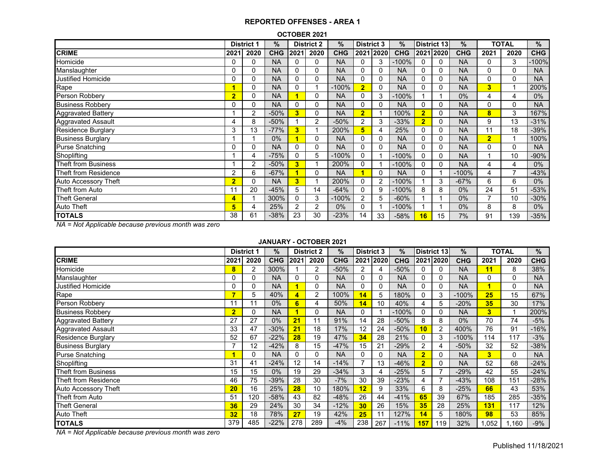#### **OCTOBER 2021**

|                            |                | <b>District 1</b> | $\%$       |                | <b>District 2</b> | %          | <b>District 3</b> |          | $\%$       |                | District 13 | $\%$       |                | <b>TOTAL</b> | %          |
|----------------------------|----------------|-------------------|------------|----------------|-------------------|------------|-------------------|----------|------------|----------------|-------------|------------|----------------|--------------|------------|
| <b>CRIME</b>               | 2021           | 2020              | <b>CHG</b> | 2021           | 2020              | <b>CHG</b> | 2021              | 2020     | <b>CHG</b> |                | 2021 2020   | <b>CHG</b> | 2021           | 2020         | <b>CHG</b> |
| Homicide                   | 0              | 0                 | <b>NA</b>  | 0              | 0                 | <b>NA</b>  | 0                 | 3        | $-100%$    | 0              | $\Omega$    | <b>NA</b>  | 0              | 3            | $-100%$    |
| Manslaughter               | 0              | 0                 | <b>NA</b>  | $\Omega$       | 0                 | <b>NA</b>  | $\Omega$          | 0        | <b>NA</b>  | 0              | $\Omega$    | <b>NA</b>  | 0              | 0            | <b>NA</b>  |
| <b>Justified Homicide</b>  | 0              | 0                 | <b>NA</b>  | $\Omega$       | 0                 | <b>NA</b>  | 0                 | 0        | <b>NA</b>  | 0              | $\Omega$    | <b>NA</b>  | $\Omega$       | 0            | <b>NA</b>  |
| Rape                       | 1              | 0                 | <b>NA</b>  | $\Omega$       |                   | $-100%$    | $\overline{2}$    | $\Omega$ | <b>NA</b>  | 0              | 0           | <b>NA</b>  | 3              |              | 200%       |
| Person Robbery             | $\overline{2}$ | 0                 | <b>NA</b>  | и              | 0                 | <b>NA</b>  | 0                 | 3        | $-100%$    |                |             | 0%         | 4              | 4            | $0\%$      |
| <b>Business Robbery</b>    | 0              | 0                 | <b>NA</b>  | 0              | 0                 | <b>NA</b>  | 0                 | 0        | <b>NA</b>  | 0              | 0           | <b>NA</b>  | $\Omega$       | $\Omega$     | <b>NA</b>  |
| <b>Aggravated Battery</b>  |                | 2                 | $-50%$     | 3              | 0                 | <b>NA</b>  | $\overline{2}$    |          | 100%       | $\overline{2}$ | 0           | <b>NA</b>  | 8              | 3            | 167%       |
| Aggravated Assault         | 4              | 8                 | $-50%$     |                | 2                 | $-50%$     | 2                 | 3        | $-33%$     | $\overline{2}$ | 0           | <b>NA</b>  | 9              | 13           | $-31%$     |
| <b>Residence Burglary</b>  | 3              | 13                | $-77%$     | 3              |                   | 200%       | 5                 | 4        | 25%        | 0              | $\Omega$    | <b>NA</b>  | 11             | 18           | $-39%$     |
| <b>Business Burglary</b>   |                |                   | 0%         |                | 0                 | <b>NA</b>  | 0                 | 0        | <b>NA</b>  | 0              | 0           | <b>NA</b>  | $\overline{2}$ |              | 100%       |
| <b>Purse Snatching</b>     | 0              | 0                 | <b>NA</b>  | $\Omega$       | 0                 | <b>NA</b>  | 0                 | 0        | <b>NA</b>  | 0              | 0           | <b>NA</b>  | $\Omega$       | 0            | <b>NA</b>  |
| Shoplifting                |                | 4                 | $-75%$     | $\mathbf{0}$   | 5                 | $-100%$    | 0                 |          | $-100%$    | $\mathbf{0}$   | 0           | <b>NA</b>  |                | 10           | $-90%$     |
| <b>Theft from Business</b> |                | $\overline{2}$    | $-50%$     | 3              |                   | 200%       | 0                 |          | $-100%$    | $\mathbf{0}$   | $\Omega$    | <b>NA</b>  | 4              | 4            | $0\%$      |
| Theft from Residence       | $\overline{2}$ | 6                 | $-67%$     |                | 0                 | <b>NA</b>  |                   | 0        | <b>NA</b>  | $\mathbf{0}$   |             | $-100%$    | 4              |              | $-43%$     |
| Auto Accessory Theft       | $\overline{2}$ | 0                 | <b>NA</b>  | 3              |                   | 200%       | 0                 | 2        | $-100%$    |                | 3           | $-67%$     | 6              | 6            | $0\%$      |
| Theft from Auto            | 11             | 20                | $-45%$     | 5              | 14                | $-64%$     | 0                 | 9        | $-100%$    | 8              | 8           | $0\%$      | 24             | 51           | $-53%$     |
| <b>Theft General</b>       | 4              |                   | 300%       | $\Omega$       | 3                 | $-100%$    | 2                 | 5        | $-60%$     |                |             | $0\%$      |                | 10           | $-30%$     |
| <b>Auto Theft</b>          | 5              | 4                 | 25%        | $\overline{2}$ | $\overline{2}$    | 0%         | 0                 |          | $-100%$    |                |             | $0\%$      | 8              | 8            | $0\%$      |
| <b>TOTALS</b>              | 38             | 61                | $-38%$     | 23             | 30                | $-23%$     | 14                | 33       | $-58%$     | 16             | 15          | 7%         | 91             | 139          | -35%       |

*NA = Not Applicable because previous month was zero*

### **JANUARY - OCTOBER 2021**

|                            |                | <b>District 1</b> | %          |          | <b>District 2</b> | %          | <b>District 3</b> |           | $\%$       |                         | <b>District 13</b> | $\%$       |       | <b>TOTAL</b> | %          |
|----------------------------|----------------|-------------------|------------|----------|-------------------|------------|-------------------|-----------|------------|-------------------------|--------------------|------------|-------|--------------|------------|
| <b>CRIME</b>               | 2021           | 2020              | <b>CHG</b> | 2021     | 2020              | <b>CHG</b> |                   | 2021 2020 | <b>CHG</b> |                         | 2021 2020          | <b>CHG</b> | 2021  | 2020         | <b>CHG</b> |
| Homicide                   | 8              | 2                 | 300%       |          | 2                 | $-50%$     | 2                 | 4         | -50%       |                         | 0                  | <b>NA</b>  | 11    | 8            | 38%        |
| Manslaughter               | 0              | 0                 | <b>NA</b>  | $\Omega$ | 0                 | <b>NA</b>  | 0                 | 0         | <b>NA</b>  | $\Omega$                | 0                  | <b>NA</b>  | 0     | 0            | <b>NA</b>  |
| <b>Justified Homicide</b>  | 0              | 0                 | <b>NA</b>  |          | 0                 | <b>NA</b>  | 0                 | 0         | <b>NA</b>  | 0                       | 0                  | <b>NA</b>  |       | 0            | <b>NA</b>  |
| Rape                       | 7              | 5                 | 40%        |          | 2                 | 100%       | 14                | 5         | 180%       | $\Omega$                | 3                  | $-100%$    | 25    | 15           | 67%        |
| Person Robbery             | 11             | 11                | $0\%$      | 6        | 4                 | 50%        | 14                | 10        | 40%        | 4                       | 5                  | $-20%$     | 35    | 30           | 17%        |
| <b>Business Robbery</b>    | $\overline{2}$ | 0                 | <b>NA</b>  |          | 0                 | <b>NA</b>  | 0                 |           | $-100%$    | 0                       | 0                  | <b>NA</b>  | 3     |              | 200%       |
| <b>Aggravated Battery</b>  | 27             | 27                | 0%         | 21       | 11                | 91%        | 14                | 28        | $-50%$     | 8                       | 8                  | 0%         | 70    | 74           | $-5%$      |
| <b>Aggravated Assault</b>  | 33             | 47                | $-30%$     | 21       | 18                | 17%        | 12                | 24        | $-50%$     | 10                      | 2                  | 400%       | 76    | 91           | $-16%$     |
| <b>Residence Burglary</b>  | 52             | 67                | $-22%$     | 28       | 19                | 47%        | 34                | 28        | 21%        | 0                       | 3                  | $-100%$    | 114   | 117          | $-3%$      |
| <b>Business Burglary</b>   | 7              | 12                | $-42%$     | 8        | 15                | $-47%$     | 15                | 21        | $-29%$     | 2                       | 4                  | $-50%$     | 32    | 52           | $-38%$     |
| <b>Purse Snatching</b>     |                | 0                 | <b>NA</b>  | $\Omega$ | $\Omega$          | NA         | 0                 | 0         | <b>NA</b>  | $\overline{2}$          | $\Omega$           | <b>NA</b>  | 3     | 0            | <b>NA</b>  |
| Shoplifting                | 31             | 41                | $-24%$     | 12       | 14                | $-14%$     |                   | 13        | $-46%$     | $\overline{\mathbf{2}}$ | 0                  | <b>NA</b>  | 52    | 68           | $-24%$     |
| <b>Theft from Business</b> | 15             | 15                | $0\%$      | 19       | 29                | $-34%$     | 3                 | 4         | $-25%$     | 5                       | 7                  | $-29%$     | 42    | 55           | $-24%$     |
| Theft from Residence       | 46             | 75                | $-39%$     | 28       | 30                | $-7%$      | 30                | 39        | $-23%$     | 4                       | $\overline{7}$     | $-43%$     | 108   | 151          | $-28%$     |
| Auto Accessory Theft       | 20             | 16                | 25%        | 28       | 10                | 180%       | 12                | 9         | 33%        | 6                       | 8                  | $-25%$     | 66    | 43           | 53%        |
| Theft from Auto            | 51             | 120               | $-58%$     | 43       | 82                | $-48%$     | 26                | 44        | $-41%$     | 65                      | 39                 | 67%        | 185   | 285          | $-35%$     |
| <b>Theft General</b>       | 36             | 29                | 24%        | 30       | 34                | $-12%$     | 30                | 26        | 15%        | 35                      | 28                 | 25%        | 131   | 117          | 12%        |
| <b>Auto Theft</b>          | 32             | 18                | 78%        | 27       | 19                | 42%        | 25                |           | 127%       | 14                      | 5                  | 180%       | 98    | 53           | 85%        |
| <b>TOTALS</b>              | 379            | 485               | $-22%$     | 278      | 289               | $-4%$      | 238               | 267       | $-11%$     | 157                     | 119                | 32%        | 1,052 | 1,160        | $-9%$      |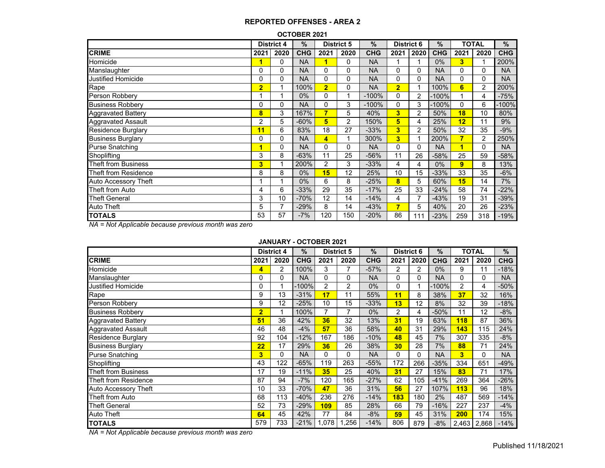#### **OCTOBER 2021**

|                             |                | <b>District 4</b> | $\%$       |                | <b>District 5</b> | $\frac{9}{6}$ | <b>District 6</b> |                | %          |                | TOTAL          | %          |
|-----------------------------|----------------|-------------------|------------|----------------|-------------------|---------------|-------------------|----------------|------------|----------------|----------------|------------|
| <b>CRIME</b>                | 2021           | 2020              | <b>CHG</b> | 2021           | 2020              | <b>CHG</b>    | 2021              | 2020           | <b>CHG</b> | 2021           | 2020           | <b>CHG</b> |
| Homicide                    |                | $\Omega$          | <b>NA</b>  |                | 0                 | <b>NA</b>     |                   |                | $0\%$      | 3              |                | 200%       |
| Manslaughter                | 0              | 0                 | <b>NA</b>  | 0              | 0                 | <b>NA</b>     | 0                 | 0              | <b>NA</b>  | 0              | 0              | <b>NA</b>  |
| <b>Justified Homicide</b>   | 0              | $\Omega$          | <b>NA</b>  | 0              | $\Omega$          | <b>NA</b>     | 0                 | $\mathbf{0}$   | <b>NA</b>  | 0              | $\mathbf{0}$   | <b>NA</b>  |
| Rape                        | $\overline{2}$ |                   | 100%       | $\overline{2}$ | 0                 | <b>NA</b>     | $\overline{2}$    |                | 100%       | 6              | $\overline{2}$ | 200%       |
| Person Robbery              |                |                   | $0\%$      | 0              | 1                 | $-100%$       | 0                 | $\overline{2}$ | $-100\%$   |                | 4              | -75%       |
| <b>Business Robbery</b>     | 0              | 0                 | <b>NA</b>  | 0              | 3                 | $-100%$       | 0                 | 3              | -100%      | 0              | 6              | -100%      |
| Aggravated Battery          | 8              | 3                 | 167%       | 7              | 5                 | 40%           | 3                 | 2              | 50%        | 18             | 10             | 80%        |
| Aggravated Assault          | 2              | 5                 | $-60%$     | 5              | 2                 | 150%          | 5                 | 4              | 25%        | 12             | 11             | 9%         |
| <b>Residence Burglary</b>   | 11             | 6                 | 83%        | 18             | 27                | $-33%$        | 3                 | 2              | 50%        | 32             | 35             | $-9%$      |
| <b>Business Burglary</b>    | 0              | 0                 | <b>NA</b>  | 4              | 1                 | 300%          | 3 <sup>1</sup>    |                | 200%       | 7              | $\overline{2}$ | 250%       |
| <b>Purse Snatching</b>      | 1              | 0                 | <b>NA</b>  | 0              | 0                 | <b>NA</b>     | 0                 | 0              | <b>NA</b>  | 4              | $\Omega$       | <b>NA</b>  |
| Shoplifting                 | 3              | 8                 | $-63%$     | 11             | 25                | $-56%$        | 11                | 26             | $-58%$     | 25             | 59             | -58%       |
| Theft from Business         | 3              |                   | 200%       | 2              | 3                 | $-33%$        | 4                 | 4              | $0\%$      | $\overline{9}$ | 8              | 13%        |
| Theft from Residence        | 8              | 8                 | $0\%$      | 15             | 12                | 25%           | 10                | 15             | $-33%$     | 33             | 35             | $-6%$      |
| <b>Auto Accessory Theft</b> |                |                   | $0\%$      | 6              | 8                 | $-25%$        | 8                 | 5              | 60%        | 15             | 14             | 7%         |
| Theft from Auto             | 4              | 6                 | $-33%$     | 29             | 35                | $-17%$        | 25                | 33             | $-24%$     | 58             | 74             | $-22%$     |
| <b>Theft General</b>        | 3              | 10                | $-70%$     | 12             | 14                | $-14%$        | 4                 | 7              | $-43%$     | 19             | 31             | $-39%$     |
| Auto Theft                  | 5              |                   | $-29%$     | 8              | 14                | $-43%$        | $\overline{7}$    | 5              | 40%        | 20             | 26             | $-23%$     |
| <b>TOTALS</b>               | 53             | 57                | $-7%$      | 120            | 150               | $-20%$        | 86                | 111            | $-23%$     | 259            | 318            | $-19%$     |

*NA = Not Applicable because previous month was zero*

#### **JANUARY - OCTOBER 2021**

|                            | <b>District 4</b> |              | %          |                | <b>District 5</b> | $\frac{0}{0}$ | <b>District 6</b> |              | $\%$       |                | <b>TOTAL</b> | %          |
|----------------------------|-------------------|--------------|------------|----------------|-------------------|---------------|-------------------|--------------|------------|----------------|--------------|------------|
| <b>CRIME</b>               | 2021              | 2020         | <b>CHG</b> | 2021           | 2020              | <b>CHG</b>    | 2021              | 2020         | <b>CHG</b> | 2021           | 2020         | <b>CHG</b> |
| Homicide                   | 4                 | 2            | 100%       | 3              | 7                 | $-57%$        | 2                 | 2            | $0\%$      | 9              | 11           | $-18%$     |
| Manslaughter               | 0                 | 0            | <b>NA</b>  | $\Omega$       | $\Omega$          | <b>NA</b>     | 0                 | 0            | <b>NA</b>  | 0              | 0            | <b>NA</b>  |
| <b>Justified Homicide</b>  | 0                 |              | $-100%$    | $\overline{2}$ | 2                 | 0%            | 0                 |              | $-100%$    | $\overline{2}$ | 4            | $-50%$     |
| Rape                       | 9                 | 13           | $-31%$     | 17             | 11                | 55%           | 11                | 8            | 38%        | 37             | 32           | 16%        |
| Person Robbery             | 9                 | 12           | $-25%$     | 10             | 15                | $-33%$        | 13                | 12           | 8%         | 32             | 39           | $-18%$     |
| <b>Business Robbery</b>    | $\overline{2}$    |              | 100%       | 7              |                   | $0\%$         | 2                 | 4            | $-50%$     | 11             | 12           | $-8%$      |
| <b>Aggravated Battery</b>  | 51                | 36           | 42%        | 36             | 32                | 13%           | 31                | 19           | 63%        | <b>118</b>     | 87           | 36%        |
| <b>Aggravated Assault</b>  | 46                | 48           | $-4%$      | 57             | 36                | 58%           | 40                | 31           | 29%        | 143            | 115          | 24%        |
| <b>Residence Burglary</b>  | 92                | 104          | $-12%$     | 167            | 186               | $-10%$        | 48                | 45           | 7%         | 307            | 335          | $-8%$      |
| <b>Business Burglary</b>   | 22                | 17           | 29%        | 36             | 26                | 38%           | 30                | 28           | 7%         | 88             | 71           | 24%        |
| <b>Purse Snatching</b>     | 3                 | $\mathbf{0}$ | <b>NA</b>  | 0              | 0                 | <b>NA</b>     | 0                 | $\mathbf{0}$ | <b>NA</b>  | 3              | 0            | <b>NA</b>  |
| Shoplifting                | 43                | 122          | $-65%$     | 119            | 263               | $-55%$        | 172               | 266          | $-35%$     | 334            | 651          | $-49%$     |
| <b>Theft from Business</b> | 17                | 19           | $-11%$     | 35             | 25                | 40%           | 31                | 27           | 15%        | 83             | 71           | 17%        |
| Theft from Residence       | 87                | 94           | $-7%$      | 120            | 165               | $-27%$        | 62                | 105          | $-41%$     | 269            | 364          | $-26%$     |
| Auto Accessory Theft       | 10                | 33           | $-70%$     | 47             | 36                | 31%           | 56                | 27           | 107%       | 113            | 96           | 18%        |
| Theft from Auto            | 68                | 113          | $-40%$     | 236            | 276               | $-14%$        | 183               | 180          | 2%         | 487            | 569          | $-14%$     |
| <b>Theft General</b>       | 52                | 73           | $-29%$     | 109            | 85                | 28%           | 66                | 79           | $-16%$     | 227            | 237          | $-4%$      |
| <b>Auto Theft</b>          | 64                | 45           | 42%        | 77             | 84                | $-8%$         | 59                | 45           | 31%        | 200            | 174          | 15%        |
| <b>TOTALS</b>              | 579               | 733          | $-21%$     | 1,078          | 1,256             | $-14%$        | 806               | 879          | $-8%$      | 2,463          | 2,868        | $-14%$     |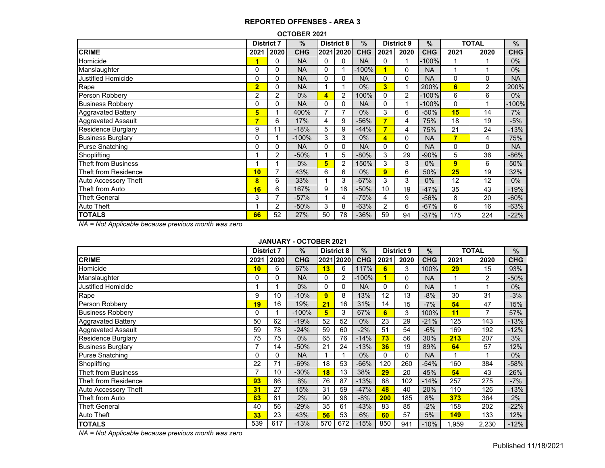| <b>OCTOBER 2021</b>         |                   |      |            |                |                   |            |                |                   |               |      |                |            |  |  |
|-----------------------------|-------------------|------|------------|----------------|-------------------|------------|----------------|-------------------|---------------|------|----------------|------------|--|--|
|                             | <b>District 7</b> |      | $\%$       |                | <b>District 8</b> | $\%$       |                | <b>District 9</b> | $\frac{0}{0}$ |      | <b>TOTAL</b>   | $\%$       |  |  |
| <b>CRIME</b>                | 2021              | 2020 | <b>CHG</b> |                | 2021 2020         | <b>CHG</b> | 2021           | 2020              | <b>CHG</b>    | 2021 | 2020           | <b>CHG</b> |  |  |
| Homicide                    |                   | 0    | <b>NA</b>  | 0              | 0                 | <b>NA</b>  | 0              |                   | $-100%$       |      |                | $0\%$      |  |  |
| Manslaughter                | 0                 | 0    | <b>NA</b>  | 0              |                   | $-100%$    |                | 0                 | <b>NA</b>     | 1    |                | $0\%$      |  |  |
| <b>Justified Homicide</b>   |                   | 0    | <b>NA</b>  | 0              | 0                 | <b>NA</b>  | 0              | 0                 | <b>NA</b>     | 0    | 0              | <b>NA</b>  |  |  |
| Rape                        | $\overline{2}$    | 0    | <b>NA</b>  |                |                   | $0\%$      | 3              | 1                 | 200%          | 6    | $\overline{2}$ | 200%       |  |  |
| Person Robbery              | 2                 | 2    | $0\%$      | 4              | 2                 | 100%       | 0              | 2                 | $-100%$       | 6    | 6              | $0\%$      |  |  |
| <b>Business Robbery</b>     |                   | 0    | <b>NA</b>  | 0              | 0                 | <b>NA</b>  | 0              |                   | $-100%$       | 0    |                | $-100%$    |  |  |
| <b>Aggravated Battery</b>   | 5                 |      | 400%       | $\overline{7}$ | 7                 | $0\%$      | 3              | 6                 | $-50%$        | 15   | 14             | 7%         |  |  |
| <b>Aggravated Assault</b>   | 7                 | 6    | 17%        | 4              | 9                 | $-56%$     |                | 4                 | 75%           | 18   | 19             | $-5%$      |  |  |
| <b>Residence Burglary</b>   | 9                 | 11   | $-18%$     | 5              | 9                 | $-44%$     | 7              | 4                 | 75%           | 21   | 24             | $-13%$     |  |  |
| <b>Business Burglary</b>    | $\Omega$          |      | $-100%$    | 3              | 3                 | $0\%$      | 4              | 0                 | <b>NA</b>     | 7    | 4              | 75%        |  |  |
| <b>Purse Snatching</b>      | 0                 | 0    | <b>NA</b>  | 0              | 0                 | <b>NA</b>  | 0              | $\Omega$          | <b>NA</b>     | 0    | 0              | <b>NA</b>  |  |  |
| Shoplifting                 |                   | 2    | $-50%$     |                | 5                 | $-80%$     | 3              | 29                | $-90\%$       | 5    | 36             | $-86%$     |  |  |
| Theft from Business         |                   |      | 0%         | 5              | 2                 | 150%       | 3              | 3                 | $0\%$         | 9    | 6              | 50%        |  |  |
| Theft from Residence        | 10                | 7    | 43%        | 6              | 6                 | $0\%$      | 9              | 6                 | 50%           | 25   | 19             | 32%        |  |  |
| <b>Auto Accessory Theft</b> | 8                 | 6    | 33%        |                | 3                 | $-67%$     | 3              | 3                 | $0\%$         | 12   | 12             | 0%         |  |  |
| Theft from Auto             | 16                | 6    | 167%       | 9              | 18                | $-50%$     | 10             | 19                | -47%          | 35   | 43             | $-19%$     |  |  |
| <b>Theft General</b>        | 3                 | 7    | $-57%$     |                | 4                 | $-75%$     | 4              | 9                 | $-56%$        | 8    | 20             | $-60%$     |  |  |
| Auto Theft                  |                   | 2    | $-50%$     | 3              | 8                 | $-63%$     | $\overline{2}$ | 6                 | $-67%$        | 6    | 16             | $-63%$     |  |  |
| <b>TOTALS</b>               | 66                | 52   | 27%        | 50             | 78                | $-36%$     | 59             | 94                | $-37%$        | 175  | 224            | $-22%$     |  |  |

*NA = Not Applicable because previous month was zero*

### **JANUARY - OCTOBER 2021**

|                            |      | %<br><b>District 8</b><br><b>District 7</b> |            |              | %         |            | <b>District 9</b> | $\%$ |            | <b>TOTAL</b> | $\%$           |            |
|----------------------------|------|---------------------------------------------|------------|--------------|-----------|------------|-------------------|------|------------|--------------|----------------|------------|
| <b>CRIME</b>               | 2021 | 2020                                        | <b>CHG</b> |              | 2021 2020 | <b>CHG</b> | 2021              | 2020 | <b>CHG</b> | 2021         | 2020           | <b>CHG</b> |
| Homicide                   | 10   | 6                                           | 67%        | 13           | 6         | 117%       | 6                 | 3    | 100%       | 29           | 15             | 93%        |
| Manslaughter               | 0    | 0                                           | <b>NA</b>  | 0            | 2         | $-100%$    | 1                 | 0    | <b>NA</b>  |              | $\overline{2}$ | -50%       |
| Justified Homicide         |      |                                             | $0\%$      | $\mathbf{0}$ | $\Omega$  | <b>NA</b>  | 0                 | 0    | <b>NA</b>  |              |                | $0\%$      |
| Rape                       | 9    | 10                                          | $-10%$     | 9            | 8         | 13%        | 12                | 13   | $-8%$      | 30           | 31             | $-3%$      |
| Person Robbery             | 19   | 16                                          | 19%        | 21           | 16        | 31%        | 14                | 15   | $-7%$      | 54           | 47             | 15%        |
| <b>Business Robbery</b>    | 0    |                                             | $-100%$    | 5            | 3         | 67%        | 6                 | 3    | 100%       | 11           | 7              | 57%        |
| Aggravated Battery         | 50   | 62                                          | $-19%$     | 52           | 52        | 0%         | 23                | 29   | $-21%$     | 125          | 143            | $-13%$     |
| <b>Aggravated Assault</b>  | 59   | 78                                          | $-24%$     | 59           | 60        | $-2%$      | 51                | 54   | $-6%$      | 169          | 192            | $-12%$     |
| <b>Residence Burglary</b>  | 75   | 75                                          | $0\%$      | 65           | 76        | $-14%$     | 73                | 56   | 30%        | 213          | 207            | 3%         |
| <b>Business Burglary</b>   | 7    | 14                                          | $-50%$     | 21           | 24        | $-13%$     | 36                | 19   | 89%        | 64           | 57             | 12%        |
| Purse Snatching            | 0    | 0                                           | NA.        |              |           | 0%         | 0                 | 0    | <b>NA</b>  |              |                | $0\%$      |
| Shoplifting                | 22   | 71                                          | $-69%$     | 18           | 53        | $-66%$     | 120               | 260  | $-54%$     | 160          | 384            | $-58%$     |
| <b>Theft from Business</b> | 7    | 10                                          | $-30%$     | 18           | 13        | 38%        | 29                | 20   | 45%        | 54           | 43             | 26%        |
| Theft from Residence       | 93   | 86                                          | 8%         | 76           | 87        | $-13%$     | 88                | 102  | $-14%$     | 257          | 275            | $-7%$      |
| Auto Accessory Theft       | 31   | 27                                          | 15%        | 31           | 59        | $-47%$     | 48                | 40   | 20%        | 110          | 126            | $-13%$     |
| Theft from Auto            | 83   | 81                                          | 2%         | 90           | 98        | $-8%$      | 200               | 185  | 8%         | 373          | 364            | 2%         |
| <b>Theft General</b>       | 40   | 56                                          | $-29%$     | 35           | 61        | $-43%$     | 83                | 85   | $-2%$      | 158          | 202            | $-22%$     |
| Auto Theft                 | 33   | 23                                          | 43%        | 56           | 53        | 6%         | 60                | 57   | 5%         | 149          | 133            | 12%        |
| <b>TOTALS</b>              | 539  | 617                                         | $-13%$     | 570          | 672       | $-15%$     | 850               | 941  | $-10%$     | 1,959        | 2,230          | $-12%$     |